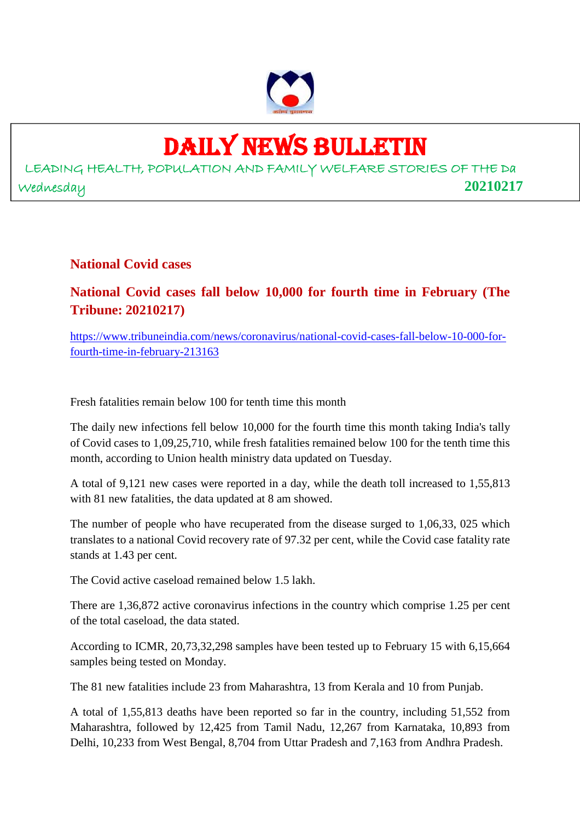

## DAILY NEWS BULLETIN

LEADING HEALTH, POPULATION AND FAMILY WELFARE STORIES OF THE Da Wednesday **20210217**

**National Covid cases**

**National Covid cases fall below 10,000 for fourth time in February (The Tribune: 20210217)**

https://www.tribuneindia.com/news/coronavirus/national-covid-cases-fall-below-10-000-forfourth-time-in-february-213163

Fresh fatalities remain below 100 for tenth time this month

The daily new infections fell below 10,000 for the fourth time this month taking India's tally of Covid cases to 1,09,25,710, while fresh fatalities remained below 100 for the tenth time this month, according to Union health ministry data updated on Tuesday.

A total of 9,121 new cases were reported in a day, while the death toll increased to 1,55,813 with 81 new fatalities, the data updated at 8 am showed.

The number of people who have recuperated from the disease surged to 1,06,33, 025 which translates to a national Covid recovery rate of 97.32 per cent, while the Covid case fatality rate stands at 1.43 per cent.

The Covid active caseload remained below 1.5 lakh.

There are 1,36,872 active coronavirus infections in the country which comprise 1.25 per cent of the total caseload, the data stated.

According to ICMR, 20,73,32,298 samples have been tested up to February 15 with 6,15,664 samples being tested on Monday.

The 81 new fatalities include 23 from Maharashtra, 13 from Kerala and 10 from Punjab.

A total of 1,55,813 deaths have been reported so far in the country, including 51,552 from Maharashtra, followed by 12,425 from Tamil Nadu, 12,267 from Karnataka, 10,893 from Delhi, 10,233 from West Bengal, 8,704 from Uttar Pradesh and 7,163 from Andhra Pradesh.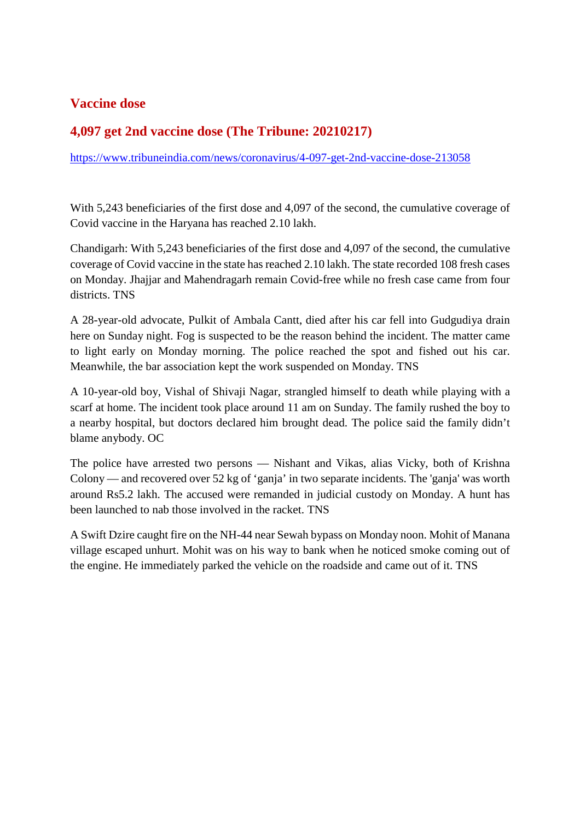#### **Vaccine dose**

#### **4,097 get 2nd vaccine dose (The Tribune: 20210217)**

https://www.tribuneindia.com/news/coronavirus/4-097-get-2nd-vaccine-dose-213058

With 5,243 beneficiaries of the first dose and 4,097 of the second, the cumulative coverage of Covid vaccine in the Haryana has reached 2.10 lakh.

Chandigarh: With 5,243 beneficiaries of the first dose and 4,097 of the second, the cumulative coverage of Covid vaccine in the state has reached 2.10 lakh. The state recorded 108 fresh cases on Monday. Jhajjar and Mahendragarh remain Covid-free while no fresh case came from four districts. TNS

A 28-year-old advocate, Pulkit of Ambala Cantt, died after his car fell into Gudgudiya drain here on Sunday night. Fog is suspected to be the reason behind the incident. The matter came to light early on Monday morning. The police reached the spot and fished out his car. Meanwhile, the bar association kept the work suspended on Monday. TNS

A 10-year-old boy, Vishal of Shivaji Nagar, strangled himself to death while playing with a scarf at home. The incident took place around 11 am on Sunday. The family rushed the boy to a nearby hospital, but doctors declared him brought dead. The police said the family didn't blame anybody. OC

The police have arrested two persons — Nishant and Vikas, alias Vicky, both of Krishna Colony — and recovered over 52 kg of 'ganja' in two separate incidents. The 'ganja' was worth around Rs5.2 lakh. The accused were remanded in judicial custody on Monday. A hunt has been launched to nab those involved in the racket. TNS

A Swift Dzire caught fire on the NH-44 near Sewah bypass on Monday noon. Mohit of Manana village escaped unhurt. Mohit was on his way to bank when he noticed smoke coming out of the engine. He immediately parked the vehicle on the roadside and came out of it. TNS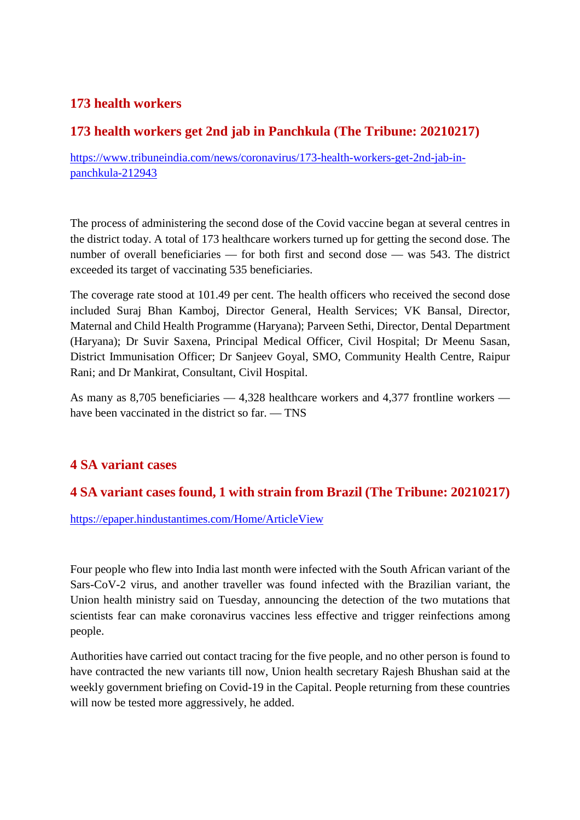#### **173 health workers**

#### **173 health workers get 2nd jab in Panchkula (The Tribune: 20210217)**

https://www.tribuneindia.com/news/coronavirus/173-health-workers-get-2nd-jab-inpanchkula-212943

The process of administering the second dose of the Covid vaccine began at several centres in the district today. A total of 173 healthcare workers turned up for getting the second dose. The number of overall beneficiaries — for both first and second dose — was 543. The district exceeded its target of vaccinating 535 beneficiaries.

The coverage rate stood at 101.49 per cent. The health officers who received the second dose included Suraj Bhan Kamboj, Director General, Health Services; VK Bansal, Director, Maternal and Child Health Programme (Haryana); Parveen Sethi, Director, Dental Department (Haryana); Dr Suvir Saxena, Principal Medical Officer, Civil Hospital; Dr Meenu Sasan, District Immunisation Officer; Dr Sanjeev Goyal, SMO, Community Health Centre, Raipur Rani; and Dr Mankirat, Consultant, Civil Hospital.

As many as 8,705 beneficiaries — 4,328 healthcare workers and 4,377 frontline workers have been vaccinated in the district so far. — TNS

#### **4 SA variant cases**

#### **4 SA variant cases found, 1 with strain from Brazil (The Tribune: 20210217)**

https://epaper.hindustantimes.com/Home/ArticleView

Four people who flew into India last month were infected with the South African variant of the Sars-CoV-2 virus, and another traveller was found infected with the Brazilian variant, the Union health ministry said on Tuesday, announcing the detection of the two mutations that scientists fear can make coronavirus vaccines less effective and trigger reinfections among people.

Authorities have carried out contact tracing for the five people, and no other person is found to have contracted the new variants till now, Union health secretary Rajesh Bhushan said at the weekly government briefing on Covid-19 in the Capital. People returning from these countries will now be tested more aggressively, he added.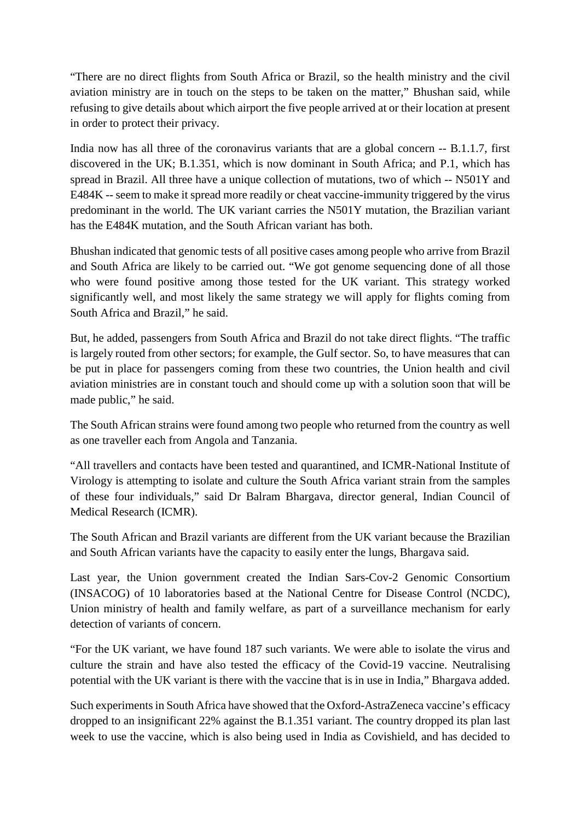"There are no direct flights from South Africa or Brazil, so the health ministry and the civil aviation ministry are in touch on the steps to be taken on the matter," Bhushan said, while refusing to give details about which airport the five people arrived at or their location at present in order to protect their privacy.

India now has all three of the coronavirus variants that are a global concern -- B.1.1.7, first discovered in the UK; B.1.351, which is now dominant in South Africa; and P.1, which has spread in Brazil. All three have a unique collection of mutations, two of which -- N501Y and E484K -- seem to make it spread more readily or cheat vaccine-immunity triggered by the virus predominant in the world. The UK variant carries the N501Y mutation, the Brazilian variant has the E484K mutation, and the South African variant has both.

Bhushan indicated that genomic tests of all positive cases among people who arrive from Brazil and South Africa are likely to be carried out. "We got genome sequencing done of all those who were found positive among those tested for the UK variant. This strategy worked significantly well, and most likely the same strategy we will apply for flights coming from South Africa and Brazil," he said.

But, he added, passengers from South Africa and Brazil do not take direct flights. "The traffic is largely routed from other sectors; for example, the Gulf sector. So, to have measures that can be put in place for passengers coming from these two countries, the Union health and civil aviation ministries are in constant touch and should come up with a solution soon that will be made public," he said.

The South African strains were found among two people who returned from the country as well as one traveller each from Angola and Tanzania.

"All travellers and contacts have been tested and quarantined, and ICMR-National Institute of Virology is attempting to isolate and culture the South Africa variant strain from the samples of these four individuals," said Dr Balram Bhargava, director general, Indian Council of Medical Research (ICMR).

The South African and Brazil variants are different from the UK variant because the Brazilian and South African variants have the capacity to easily enter the lungs, Bhargava said.

Last year, the Union government created the Indian Sars-Cov-2 Genomic Consortium (INSACOG) of 10 laboratories based at the National Centre for Disease Control (NCDC), Union ministry of health and family welfare, as part of a surveillance mechanism for early detection of variants of concern.

"For the UK variant, we have found 187 such variants. We were able to isolate the virus and culture the strain and have also tested the efficacy of the Covid-19 vaccine. Neutralising potential with the UK variant is there with the vaccine that is in use in India," Bhargava added.

Such experiments in South Africa have showed that the Oxford-AstraZeneca vaccine's efficacy dropped to an insignificant 22% against the B.1.351 variant. The country dropped its plan last week to use the vaccine, which is also being used in India as Covishield, and has decided to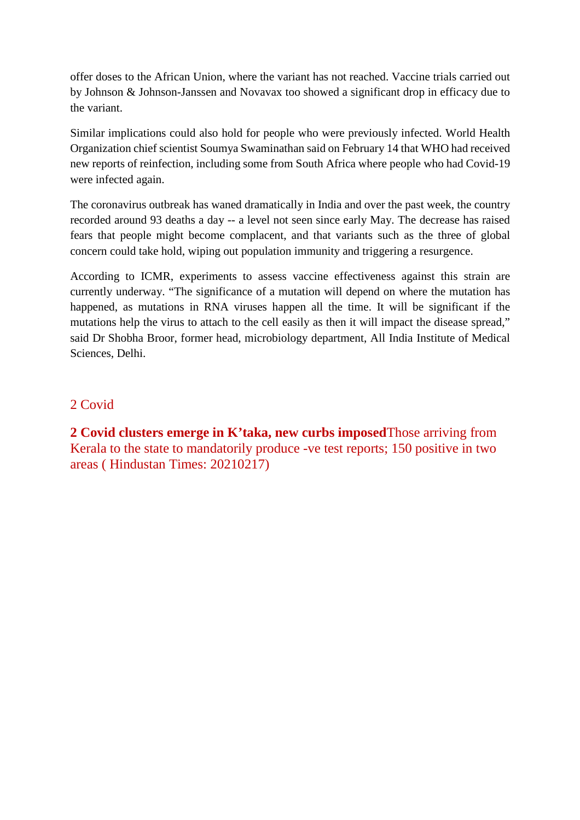offer doses to the African Union, where the variant has not reached. Vaccine trials carried out by Johnson & Johnson-Janssen and Novavax too showed a significant drop in efficacy due to the variant.

Similar implications could also hold for people who were previously infected. World Health Organization chief scientist Soumya Swaminathan said on February 14 that WHO had received new reports of reinfection, including some from South Africa where people who had Covid-19 were infected again.

The coronavirus outbreak has waned dramatically in India and over the past week, the country recorded around 93 deaths a day -- a level not seen since early May. The decrease has raised fears that people might become complacent, and that variants such as the three of global concern could take hold, wiping out population immunity and triggering a resurgence.

According to ICMR, experiments to assess vaccine effectiveness against this strain are currently underway. "The significance of a mutation will depend on where the mutation has happened, as mutations in RNA viruses happen all the time. It will be significant if the mutations help the virus to attach to the cell easily as then it will impact the disease spread," said Dr Shobha Broor, former head, microbiology department, All India Institute of Medical Sciences, Delhi.

#### 2 Covid

**2 Covid clusters emerge in K'taka, new curbs imposed**Those arriving from Kerala to the state to mandatorily produce -ve test reports; 150 positive in two areas ( Hindustan Times: 20210217)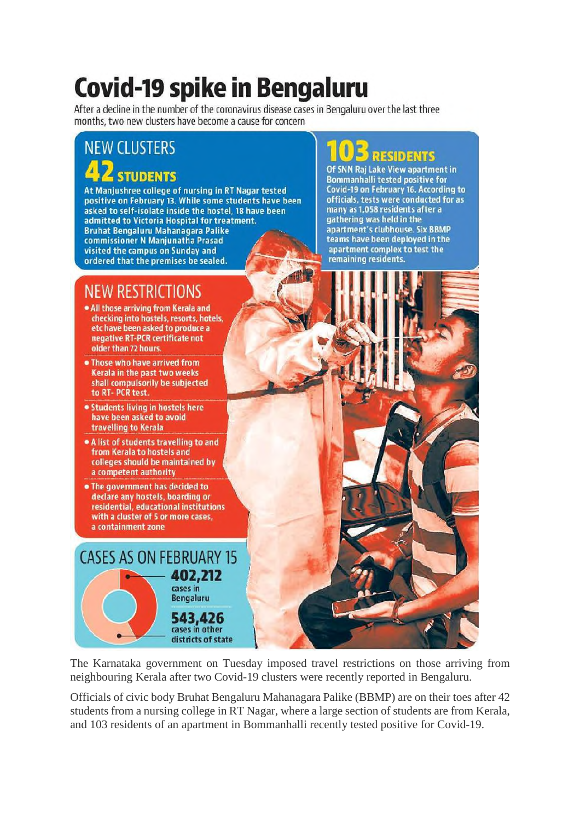## **Covid-19 spike in Bengaluru**

After a decline in the number of the coronavirus disease cases in Bengaluru over the last three months, two new clusters have become a cause for concern

#### **NEW CLUSTERS STUDENTS**

At Manjushree college of nursing in RT Nagar tested positive on February 13. While some students have been asked to self-isolate inside the hostel. 18 have been admitted to Victoria Hospital for treatment. **Bruhat Bengaluru Mahanagara Palike** commissioner N Manjunatha Prasad visited the campus on Sunday and ordered that the premises be sealed.

#### NEW RESTRIC

- . All those arriving from Kerala and checking into hostels, resorts, hotels, etc have been asked to produce a negative RT-PCR certificate not older than 72 hours.
- . Those who have arrived from Kerala in the past two weeks shall compulsorily be subjected to RT-PCR test.
- Students living in hostels here have been asked to avoid travelling to Kerala
- A list of students travelling to and from Kerala to hostels and colleges should be maintained by a competent authority
- . The government has decided to declare any hostels, boarding or residential, educational institutions with a cluster of 5 or more cases, a containment zone

#### **CASES AS ON FEBRUARY 15** 402,212 cases in **Bengaluru** 543,426 cases in other districts of state

The Karnataka government on Tuesday imposed travel restrictions on those arriving from neighbouring Kerala after two Covid-19 clusters were recently reported in Bengaluru.

Officials of civic body Bruhat Bengaluru Mahanagara Palike (BBMP) are on their toes after 42 students from a nursing college in RT Nagar, where a large section of students are from Kerala, and 103 residents of an apartment in Bommanhalli recently tested positive for Covid-19.

### **RESIDENTS**

Of SNN Raj Lake View apartment in **Bommanhalli tested positive for** Covid-19 on February 16. According to officials, tests were conducted for as many as 1,058 residents after a gathering was held in the apartment's clubhouse. Six BBMP teams have been deployed in the apartment complex to test the remaining residents.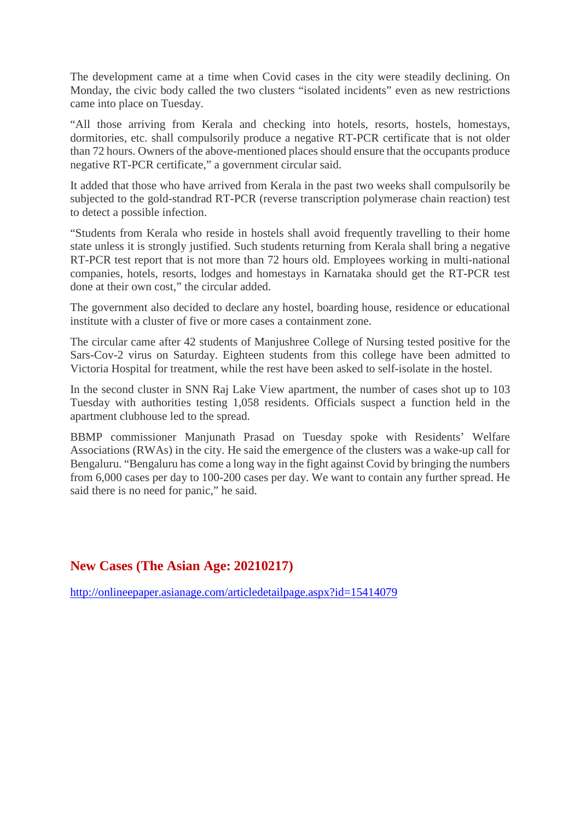The development came at a time when Covid cases in the city were steadily declining. On Monday, the civic body called the two clusters "isolated incidents" even as new restrictions came into place on Tuesday.

"All those arriving from Kerala and checking into hotels, resorts, hostels, homestays, dormitories, etc. shall compulsorily produce a negative RT-PCR certificate that is not older than 72 hours. Owners of the above-mentioned places should ensure that the occupants produce negative RT-PCR certificate," a government circular said.

It added that those who have arrived from Kerala in the past two weeks shall compulsorily be subjected to the gold-standrad RT-PCR (reverse transcription polymerase chain reaction) test to detect a possible infection.

"Students from Kerala who reside in hostels shall avoid frequently travelling to their home state unless it is strongly justified. Such students returning from Kerala shall bring a negative RT-PCR test report that is not more than 72 hours old. Employees working in multi-national companies, hotels, resorts, lodges and homestays in Karnataka should get the RT-PCR test done at their own cost," the circular added.

The government also decided to declare any hostel, boarding house, residence or educational institute with a cluster of five or more cases a containment zone.

The circular came after 42 students of Manjushree College of Nursing tested positive for the Sars-Cov-2 virus on Saturday. Eighteen students from this college have been admitted to Victoria Hospital for treatment, while the rest have been asked to self-isolate in the hostel.

In the second cluster in SNN Raj Lake View apartment, the number of cases shot up to 103 Tuesday with authorities testing 1,058 residents. Officials suspect a function held in the apartment clubhouse led to the spread.

BBMP commissioner Manjunath Prasad on Tuesday spoke with Residents' Welfare Associations (RWAs) in the city. He said the emergence of the clusters was a wake-up call for Bengaluru. "Bengaluru has come a long way in the fight against Covid by bringing the numbers from 6,000 cases per day to 100-200 cases per day. We want to contain any further spread. He said there is no need for panic," he said.

#### **New Cases (The Asian Age: 20210217)**

http://onlineepaper.asianage.com/articledetailpage.aspx?id=15414079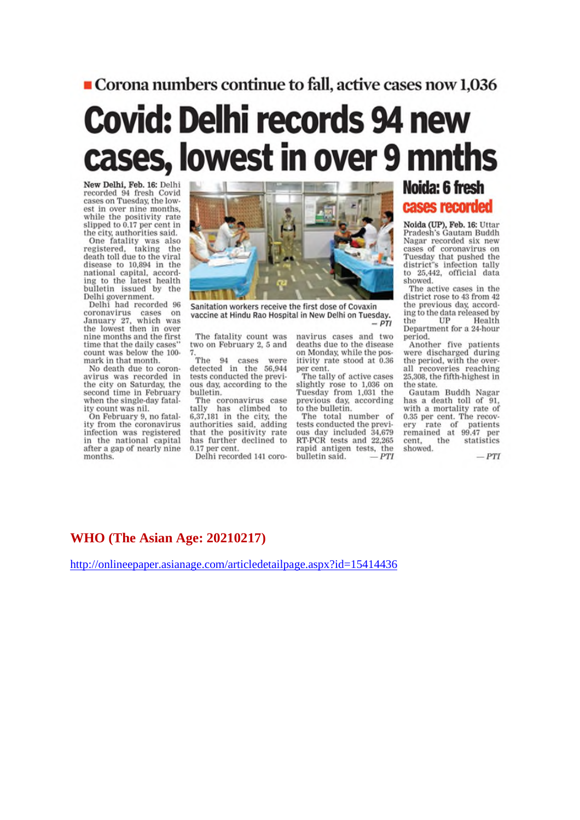#### Corona numbers continue to fall, active cases now 1,036

## **Covid: Delhi records 94 new** cases, lowest in over 9 mnths

New Delhi, Feb. 16: Delhi recorded 94 fresh Covid<br>cases on Tuesday, the lowest in over nine months,<br>while the positivity rate slipped to 0.17 per cent in the city, authorities said.

One fatality was also<br>registered, taking the death toll due to the viral disease to 10,894 in the national capital, according to the latest health bulletin issued by the Delhi government.<br>Delhi had recorded 96

coronavirus cases on<br>January 27, which was the lowest then in over<br>nine months and the first time that the daily cases" count was below the 100mark in that month.

No death due to coronavirus was recorded in the city on Saturday, the second time in February when the single-day fatality count was nil.

On February 9, no fatality from the coronavirus infection was registered in the national capital after a gap of nearly nine months.



Sanitation workers receive the first dose of Covaxin vaccine at Hindu Rao Hospital in New Delhi on Tuesday.  $-PTI$ 

The fatality count was two on February 2, 5 and

The 94 cases were detected in the 56,944 tests conducted the previous day, according to the bulletin.

The coronavirus case<br>tally has climbed to<br>6,37,181 in the city, the authorities said, adding that the positivity rate has further declined to 0.17 per cent.

Delhi recorded 141 coro-

navirus cases and two deaths due to the disease on Monday, while the positivity rate stood at 0.36 per cent.

The tally of active cases slightly rose to 1,036 on Tuesday from 1,031 the previous day, according to the bulletin.

The total number of<br>tests conducted the previous day included 34,679<br>RT-PCR tests and 22,265 rapid antigen tests, the bulletin said. **PTI** 

#### Noida: 6 fresh cases recorded

Noida (UP), Feb. 16: Uttar<br>Pradesh's Gautam Buddh Nagar recorded six new cases of coronavirus on Tuesday that pushed the district's infection tally to 25,442, official data showed.

The active cases in the district rose to 43 from 42 the previous day, according to the data released by<br>the UP Health Department for a 24-hour period.

Another five patients were discharged during the period, with the overall recoveries reaching 25,308, the fifth-highest in the state.

Gautam Buddh Nagar has a death toll of 91,<br>with a mortality rate of  $0.35$  per cent. The recovery rate of patients<br>remained at  $99.47$  per the statistics cent. showed.

 $-PTI$ 

#### **WHO** (The Asian Age: 20210217)

http://onlineepaper.asianage.com/articledetailpage.aspx?id=15414436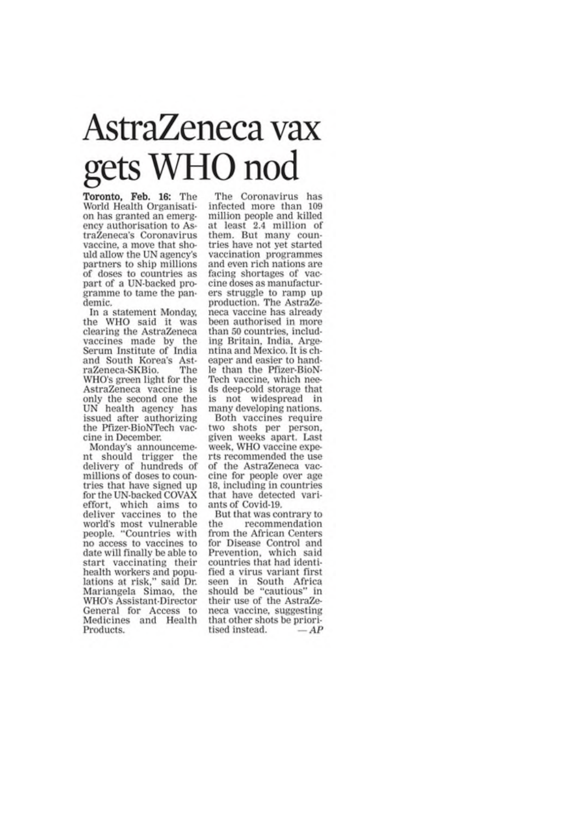## AstraZeneca vax gets WHO nod

Toronto, Feb. 16: The World Health Organisation has granted an emergency authorisation to AstraZeneca's Coronavirus vaccine, a move that should allow the UN agency's partners to ship millions of doses to countries as part of a UN-backed programme to tame the pandemic.

In a statement Monday. the WHO said it was clearing the AstraZeneca vaccines made by the Serum Institute of India and South Korea's AstraZeneca-SKBio. The WHO's green light for the AstraZeneca vaccine is only the second one the<br>UN health agency has issued after authorizing the Pfizer-BioNTech vaccine in December.

Monday's announcement should trigger the delivery of hundreds of millions of doses to countries that have signed up for the UN-backed COVAX effort, which aims to deliver vaccines to the world's most vulnerable people. "Countries with no access to vaccines to date will finally be able to start vaccinating their health workers and populations at risk," said Dr. Mariangela Simao, the WHO's Assistant-Director General for Access to Medicines and Health Products.

The Coronavirus has infected more than 109 million people and killed at least 2.4 million of them. But many countries have not yet started vaccination programmes and even rich nations are facing shortages of vaccine doses as manufacturers struggle to ramp up production. The AstraZeneca vaccine has already been authorised in more than 50 countries, including Britain, India, Argentina and Mexico. It is cheaper and easier to handle than the Pfizer-BioN-Tech vaccine, which needs deep-cold storage that is not widespread in many developing nations.

Both vaccines require two shots per person, given weeks apart. Last week. WHO vaccine experts recommended the use of the AstraZeneca vaccine for people over age 18, including in countries that have detected variants of Covid-19.

But that was contrary to recommendation the from the African Centers for Disease Control and Prevention, which said countries that had identified a virus variant first seen in South Africa should be "cautious" in<br>their use of the AstraZeneca vaccine, suggesting that other shots be prioritised instead.  $-AP$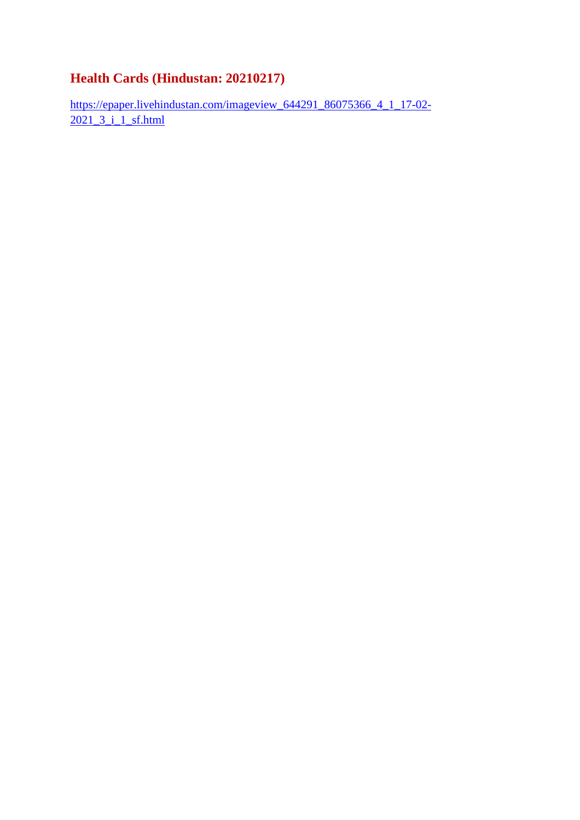#### **Health Cards (Hindustan: 20210217)**

https://epaper.livehindustan.com/imageview\_644291\_86075366\_4\_1\_17-02- 2021 3 i 1 sf.html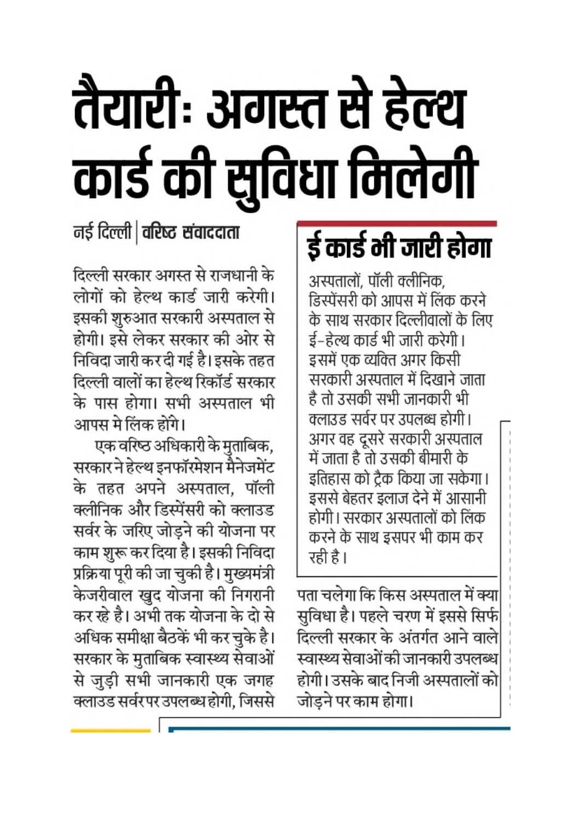## तैयारीः अगस्त से हेल्थ कार्ड की सुविधा मिलेगी

#### नई दिल्ली | वरिष्ट संवाददाता

दिल्ली सरकार अगस्त से राजधानी के लोगों को हेल्थ कार्ड जारी करेगी। इसकी शुरुआत सरकारी अस्पताल से होगी। इसे लेकर सरकार की ओर से निविदा जारी कर दी गई है। इसके तहत दिल्ली वालों का हेल्थ रिकॉर्ड सरकार के पास होगा। सभी अस्पताल भी आपस मे लिंक होंगे।

एक वरिष्ठ अधिकारी के मुताबिक, सरकार ने हेल्थ इनफॉरमेशन मैनेजमेंट के तहत अपने अस्पताल. पॉली क्लीनिक और डिस्पेंसरी को क्लाउड सर्वर के जरिए जोड़ने की योजना पर काम शुरू कर दिया है। इसकी निविदा प्रक्रिया पूरी की जा चुकी है। मुख्यमंत्री केजरीवाल खुद योजना की निगरानी कर रहे है। अभी तक योजना के दो से अधिक समीक्षा बैठकें भी कर चुके है। सरकार के मुताबिक स्वास्थ्य सेवाओं से जुड़ी सभी जानकारी एक जगह क्लाउड सर्वरपर उपलब्ध होगी, जिससे

## र्ड कार्ड भी जारी होगा

अस्पतालों, पॉली क्लीनिक, डिस्पेंसरी को आपस में लिंक करने के साथ सरकार दिल्लीवालों के लिए ई–हेल्थ कार्ड भी जारी करेगी । इसमें एक व्यक्ति अगर किसी सरकारी अस्पताल में दिखाने जाता है तो उसकी सभी जानकारी भी क्लाउड सर्वर पर उपलब्ध होगी। अगर वह दूसरे सरकारी अस्पताल में जाता है तो उसकी बीमारी के इतिहास को ट्रैक किया जा सकेगा। इससे बेहतर इलाज देने में आसानी होगी। सरकार अस्पतालों को लिंक करने के साथ डसपर भी काम कर रही है।

पता चलेगा कि किस अस्पताल में क्या सुविधा है। पहले चरण में इससे सिर्फ दिल्ली सरकार के अंतर्गत आने वाले स्वास्थ्य सेवाओं की जानकारी उपलब्ध होगी। उसके बाद निजी अस्पतालों को जोडने पर काम होगा।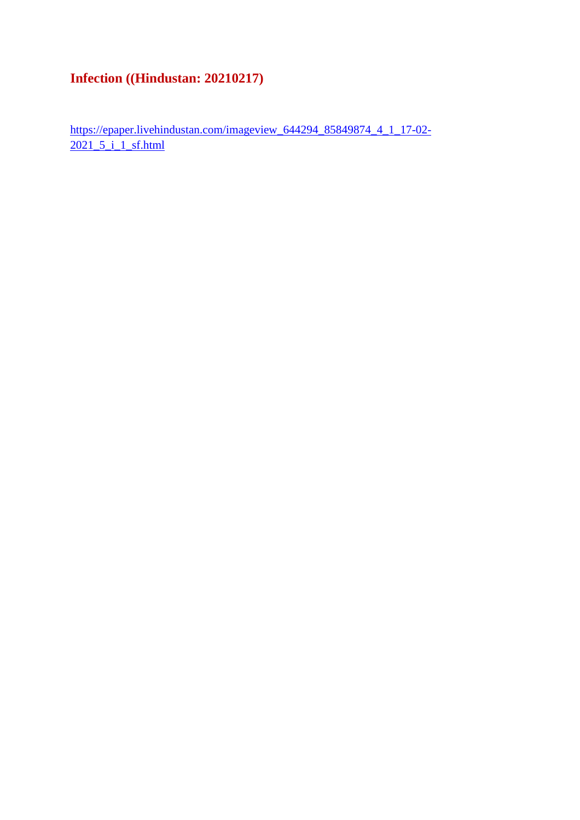#### **Infection ((Hindustan: 20210217)**

https://epaper.livehindustan.com/imageview\_644294\_85849874\_4\_1\_17-02- 2021\_5\_i\_1\_sf.html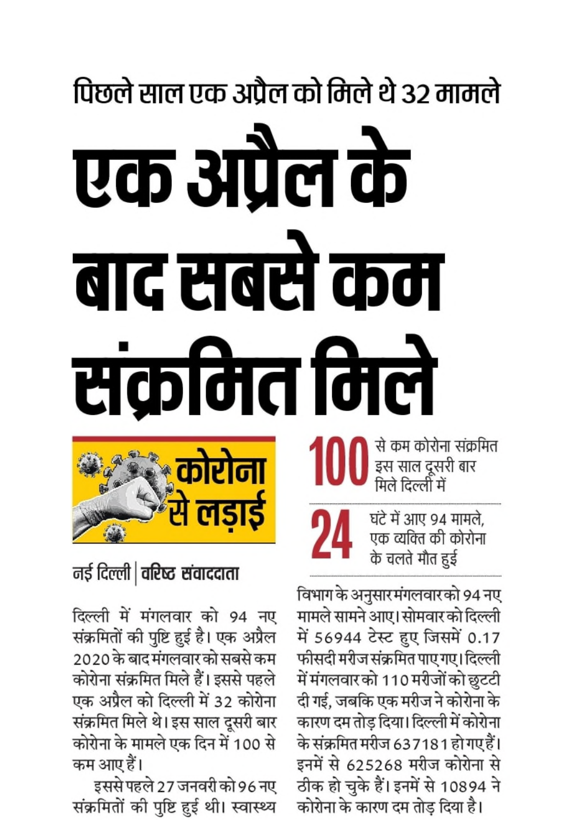# पिछले साल एक अप्रैल को मिले थे 32 मामले एक अप्रैल के बाद सबसे कम सक्रमित मिले

से कम कोरोना संक्रमित |<br>| इस साल दूसरी बार<br>|मिले दिल्ली में

घंटे में आए 94 मामले, एक व्यक्ति की कोरोना के चलते मौत हुई

विभाग के अनुसारमंगलवारको 94 नए मामले सामने आए। सोमवार को दिल्ली में 56944 टेस्ट हुए जिसमें 0.17 फीसदी मरीज संक्रमित पाए गए। दिल्ली में मंगलवार को 110 मरीजों को छुटटी दी गई, जबकि एक मरीज ने कोरोना के कारण दम तोड़ दिया। दिल्ली में कोरोना के संक्रमित मरीज 637181 हो गए हैं। इनमें से 625268 मरीज कोरोना से ठीक हो चुके हैं। इनमें से 10894 ने कोरोना के कारण दम तोड़ दिया है।



नई दिल्ली | वरिष्ट संवाददाता

दिल्ली में मंगलवार को 94 नए संक्रमितों की पुष्टि हुई है। एक अप्रैल 2020 के बाद मंगलवार को सबसे कम कोरोना संक्रमित मिले हैं। इससे पहले एक अप्रैल को दिल्ली में 32 कोरोना संक्रमित मिले थे। इस साल दूसरी बार कोरोना के मामले एक दिन में 100 से कम आए हैं।

इससे पहले 27 जनवरी को 96 नए संक्रमितों की पुष्टि हुई थी। स्वास्थ्य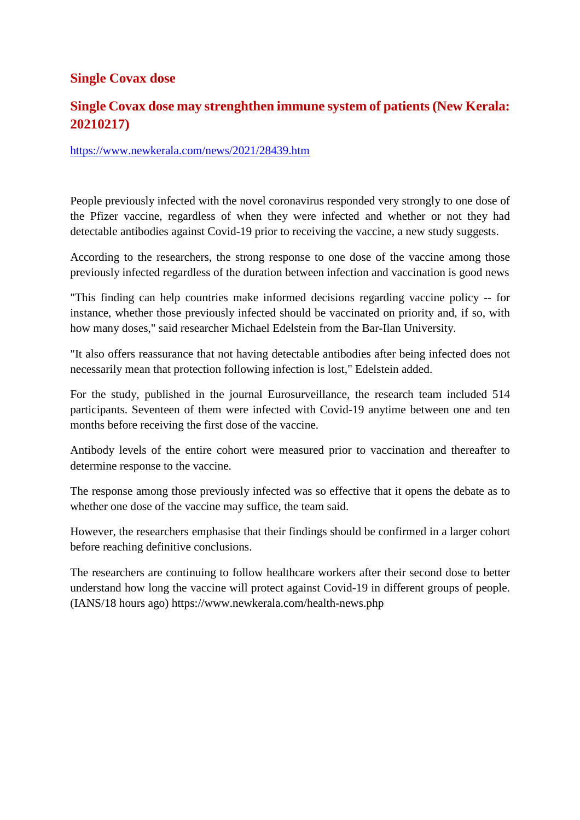#### **Single Covax dose**

#### **Single Covax dose may strenghthen immune system of patients (New Kerala: 20210217)**

#### https://www.newkerala.com/news/2021/28439.htm

People previously infected with the novel coronavirus responded very strongly to one dose of the Pfizer vaccine, regardless of when they were infected and whether or not they had detectable antibodies against Covid-19 prior to receiving the vaccine, a new study suggests.

According to the researchers, the strong response to one dose of the vaccine among those previously infected regardless of the duration between infection and vaccination is good news

"This finding can help countries make informed decisions regarding vaccine policy -- for instance, whether those previously infected should be vaccinated on priority and, if so, with how many doses," said researcher Michael Edelstein from the Bar-Ilan University.

"It also offers reassurance that not having detectable antibodies after being infected does not necessarily mean that protection following infection is lost," Edelstein added.

For the study, published in the journal Eurosurveillance, the research team included 514 participants. Seventeen of them were infected with Covid-19 anytime between one and ten months before receiving the first dose of the vaccine.

Antibody levels of the entire cohort were measured prior to vaccination and thereafter to determine response to the vaccine.

The response among those previously infected was so effective that it opens the debate as to whether one dose of the vaccine may suffice, the team said.

However, the researchers emphasise that their findings should be confirmed in a larger cohort before reaching definitive conclusions.

The researchers are continuing to follow healthcare workers after their second dose to better understand how long the vaccine will protect against Covid-19 in different groups of people. (IANS/18 hours ago) https://www.newkerala.com/health-news.php